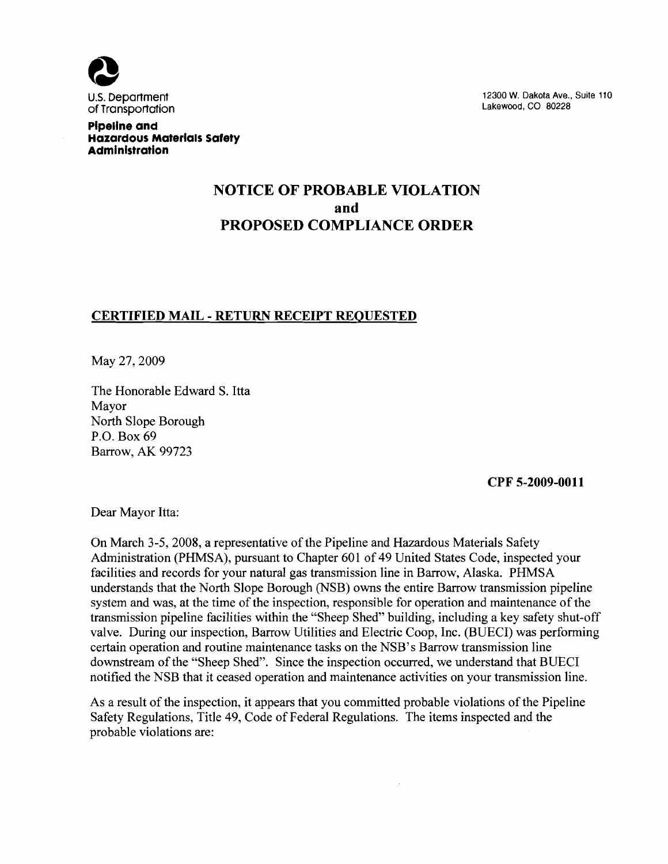

U.S. Department 12300 W. Dakota Ave., Suite 110<br>
Of Transportation is a suite 1200 M. Dakota Ave., Suite 110

**Pipeline and Hazardous MaterialS Safety Administration** 

# **NOTICE OF PROBABLE VIOLATION and PROPOSED COMPLIANCE ORDER**

## **CERTIFIED MAIL - RETURN RECEIPT REQUESTED**

May 27, 2009

The Honorable Edward S. Itta Mayor North Slope Borough P.O. Box 69 Barrow, AK 99723

**CPF 5-2009-0011** 

Dear Mayor Itta:

On March 3-5, 2008, a representative of the Pipeline and Hazardous Materials Safety Administration (PHMSA), pursuant to Chapter 601 of 49 United States Code, inspected your facilities and records for your natural gas transmission line in Barrow, Alaska. PHMSA understands that the North Slope Borough (NSB) owns the entire Barrow transmission pipeline system and was, at the time of the inspection, responsible for operation and maintenance of the transmission pipeline facilities within the "Sheep Shed" building, including a key safety shut-off valve. During our inspection, Barrow Utilities and Electric Coop, Inc. (BUECI) was performing certain operation and routine maintenance tasks on the NSB's Barrow transmission line downstream of the "Sheep Shed". Since the inspection occurred, we understand that BUECI notified the NSB that it ceased operation and maintenance activities on your transmission line.

As a result of the inspection, it appears that you committed probable violations of the Pipeline Safety Regulations, Title 49, Code of Federal Regulations. The items inspected and the probable violations are:

J.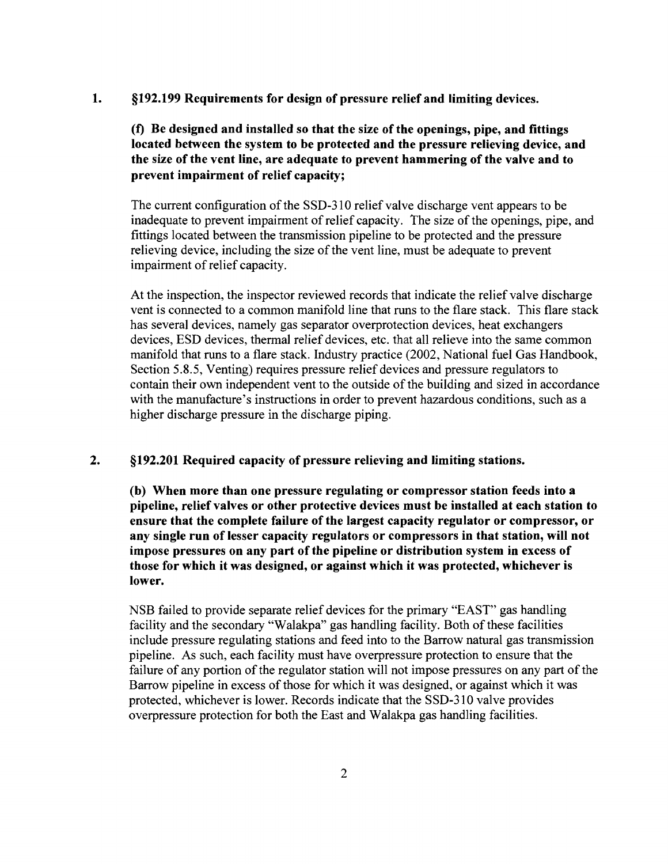1. §192.199 Requirements for design of pressure relief and limiting devices.

(f) Be designed and installed so that the size of the openings, pipe, and fittings located between the system to be protected and the pressure relieving device, and the size of the vent line, are adequate to prevent hammering of the valve and to prevent impairment of relief capacity;

The current configuration of the SSD-310 relief valve discharge vent appears to be inadequate to prevent impairment of relief capacity. The size of the openings, pipe, and fittings located between the transmission pipeline to be protected and the pressure relieving device, including the size of the vent line, must be adequate to prevent impairment of relief capacity.

At the inspection, the inspector reviewed records that indicate the relief valve discharge vent is connected to a common manifold line that runs to the flare stack. This flare stack has several devices, namely gas separator overprotection devices, heat exchangers devices, ESD devices, thermal relief devices, etc. that all relieve into the same common manifold that runs to a flare stack. Industry practice (2002, National fuel Gas Handbook, Section 5.8.5, Venting) requires pressure relief devices and pressure regulators to contain their own independent vent to the outside of the building and sized in accordance with the manufacture's instructions in order to prevent hazardous conditions, such as a higher discharge pressure in the discharge piping.

#### 2. §192.201 Required capacity of pressure relieving and limiting stations.

(b) When more than one pressure regulating or compressor station feeds into a pipeline, relief valves or other protective devices must be installed at each station to ensure that the complete failure of the largest capacity regulator or compressor, or any single run of lesser capacity regulators or compressors in that station, will not impose pressures on any part of the pipeline or distribution system in excess of those for which it was designed, or against which it was protected, whichever is lower.

NSB failed to provide separate relief devices for the primary "EAST" gas handling facility and the secondary "Walakpa" gas handling facility. Both of these facilities include pressure regulating stations and feed into to the Barrow natural gas transmission pipeline. As such, each facility must have overpressure protection to ensure that the failure of any portion of the regulator station will not impose pressures on any part of the Barrow pipeline in excess of those for which it was designed, or against which it was protected, whichever is lower. Records indicate that the SSD-310 valve provides overpressure protection for both the East and Walakpa gas handling facilities.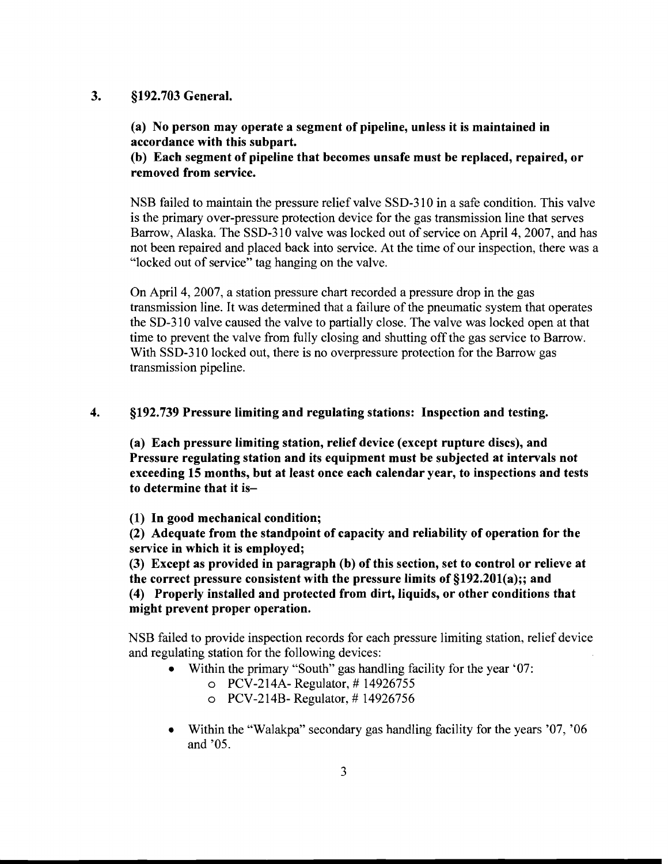#### 3. §192.703 General.

(a) No person may operate a segment of pipeline, unless it is maintained in accordance with this subpart.

## (b) Each segment of pipeline that becomes unsafe must be replaced, repaired, or removed from service.

NSB failed to maintain the pressure relief valve SSD-310 in a safe condition. This valve is the primary over-pressure protection device for the gas transmission line that serves Barrow, Alaska. The SSD-31O valve was locked out of service on April 4, 2007, and has not been repaired and placed back into service. At the time of our inspection, there was a "locked out of service" tag hanging on the valve.

On April 4, 2007, a station pressure chart recorded a pressure drop in the gas transmission line. It was determined that a failure of the pneumatic system that operates the SD-310 valve caused the valve to partially close. The valve was locked open at that time to prevent the valve from fully closing and shutting off the gas service to Barrow. With SSD-310 locked out, there is no overpressure protection for the Barrow gas transmission pipeline.

## 4. §192.739 Pressure limiting and regulating stations: Inspection and testing.

(a) Each pressure limiting station, relief device (except rupture discs), and Pressure regulating station and its equipment must be subjected at intervals not exceeding 15 months, but at least once each calendar year, to inspections and tests to determine that it is

(1) In good mechanical condition;

(2) Adequate from the standpoint of capacity and reliability of operation for the service in which it is employed;

(3) Except as provided in paragraph (b) of this section, set to control or relieve at the correct pressure consistent with the pressure limits of  $\S 192.201(a);$ ; and (4) Properly installed and protected from dirt, liquids, or other conditions that might prevent proper operation.

NSB failed to provide inspection records for each pressure limiting station, relief device and regulating station for the following devices:

- Within the primary "South" gas handling facility for the year '07:
	- $O$  PCV-214A- Regulator, #14926755
	- $O$  PCV-214B- Regulator, #14926756
- Within the "Walakpa" secondary gas handling facility for the years '07, '06 and '05.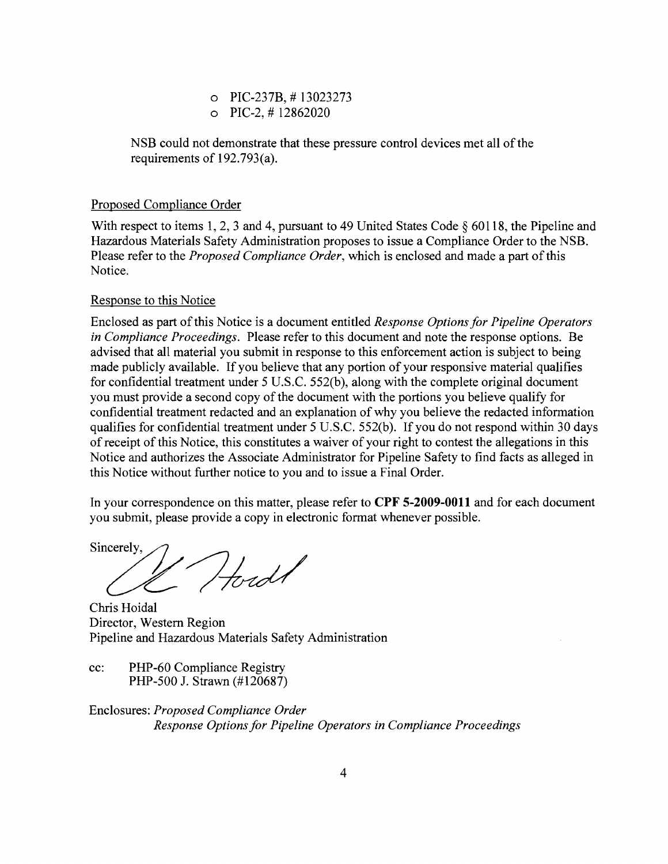o PIC-237B, # 13023273  $O$  PIC-2,  $\#$  12862020

NSB could not demonstrate that these pressure control devices met all of the requirements of 192.793(a).

## Proposed Compliance Order

With respect to items 1, 2, 3 and 4, pursuant to 49 United States Code  $\S 60118$ , the Pipeline and Hazardous Materials Safety Administration proposes to issue a Compliance Order to the NSB. Please refer to the *Proposed Compliance Order*, which is enclosed and made a part of this Notice.

### Response to this Notice

Enclosed as part of this Notice is a document entitled *Response Options for Pipeline Operators in Compliance Proceedings.* Please refer to this document and note the response options. Be advised that all material you submit in response to this enforcement action is subject to being made publicly available. If you believe that any portion of your responsive material qualifies for confidential treatment under 5 U.S.C. 552(b), along with the complete original document you must provide a second copy of the document with the portions you believe qualify for confidential treatment redacted and an explanation of why you believe the redacted information qualifies for confidential treatment under 5 U.S.C. 552(b). If you do not respond within 30 days ofreceipt of this Notice, this constitutes a waiver of your right to contest the allegations in this Notice and authorizes the Associate Administrator for Pipeline Safety to find facts as alleged in this Notice without further notice to you and to issue a Final Order.

In your correspondence on this matter, please refer to **CPF 5-2009-0011** and for each document you submit, please provide a copy in electronic format whenever possible.

Sincerely, 1 Hord

Chris Hoidal Director, Western Region Pipeline and Hazardous Materials Safety Administration

cc: PHP-60 Compliance Registry PHP-500 J. Strawn (#120687)

Enclosures: *Proposed Compliance Order Response Options for Pipeline Operators in Compliance Proceedings*